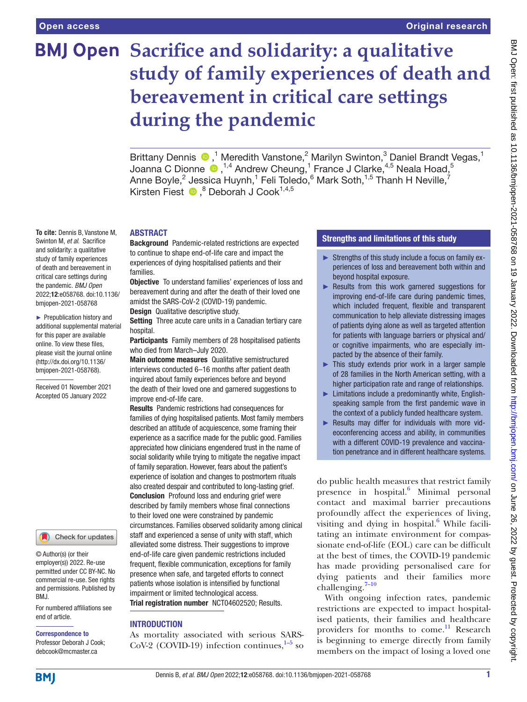**To cite:** Dennis B, Vanstone M, Swinton M, *et al*. Sacrifice and solidarity: a qualitative study of family experiences of death and bereavement in critical care settings during the pandemic. *BMJ Open* 2022;12:e058768. doi:10.1136/ bmjopen-2021-058768 ► Prepublication history and additional supplemental material for this paper are available online. To view these files, please visit the journal online [\(http://dx.doi.org/10.1136/](http://dx.doi.org/10.1136/bmjopen-2021-058768) [bmjopen-2021-058768](http://dx.doi.org/10.1136/bmjopen-2021-058768)). Received 01 November 2021 Accepted 05 January 2022

# **BMJ Open Sacrifice and solidarity: a qualitative study of family experiences of death and bereavement in critical care settings during the pandemic**

Brittany Dennis <sup>®</sup>,<sup>1</sup> Meredith Vanstone,<sup>2</sup> Marilyn Swinton,<sup>3</sup> Daniel Brandt Vegas,<sup>1</sup> Joanna C Dionne  $\bigcirc$  ,<sup>1,4</sup> Andrew Cheung,<sup>1</sup> France J Clarke,<sup>4,5</sup> Neala Hoad,<sup>5</sup> Anne Boyle, $^2$  Jessica Huynh, $^1$  Feli Toledo, $^6$  Mark Soth, $^{1,5}$  Thanh H Neville, $^7$ KirstenFiest <sup>®</sup>, <sup>8</sup> Deborah J Cook<sup>1,4,5</sup>

ABSTRACT

Background Pandemic-related restrictions are expected to continue to shape end-of-life care and impact the experiences of dying hospitalised patients and their families.

Objective To understand families' experiences of loss and bereavement during and after the death of their loved one amidst the SARS-CoV-2 (COVID-19) pandemic.

**Design** Qualitative descriptive study.

Setting Three acute care units in a Canadian tertiary care hospital.

Participants Family members of 28 hospitalised patients who died from March–July 2020.

Main outcome measures Qualitative semistructured interviews conducted 6–16 months after patient death inquired about family experiences before and beyond the death of their loved one and garnered suggestions to improve end-of-life care.

Results Pandemic restrictions had consequences for families of dying hospitalised patients. Most family members described an attitude of acquiescence, some framing their experience as a sacrifice made for the public good. Families appreciated how clinicians engendered trust in the name of social solidarity while trying to mitigate the negative impact of family separation. However, fears about the patient's experience of isolation and changes to postmortem rituals also created despair and contributed to long-lasting grief. Conclusion Profound loss and enduring grief were described by family members whose final connections to their loved one were constrained by pandemic circumstances. Families observed solidarity among clinical staff and experienced a sense of unity with staff, which alleviated some distress. Their suggestions to improve end-of-life care given pandemic restrictions included frequent, flexible communication, exceptions for family presence when safe, and targeted efforts to connect patients whose isolation is intensified by functional impairment or limited technological access. Trial registration number <NCT04602520>; Results.

#### INTRODUCTION

As mortality associated with serious SARS-CoV-2 (COVID-19) infection continues, $1-5$  so

# Strengths and limitations of this study

- ► Strengths of this study include a focus on family experiences of loss and bereavement both within and beyond hospital exposure.
- ► Results from this work garnered suggestions for improving end-of-life care during pandemic times, which included frequent, flexible and transparent communication to help alleviate distressing images of patients dying alone as well as targeted attention for patients with language barriers or physical and/ or cognitive impairments, who are especially impacted by the absence of their family.
- ► This study extends prior work in a larger sample of 28 families in the North American setting, with a higher participation rate and range of relationships.
- ► Limitations include a predominantly white, Englishspeaking sample from the first pandemic wave in the context of a publicly funded healthcare system.
- ► Results may differ for individuals with more videoconferencing access and ability, in communities with a different COVID-19 prevalence and vaccination penetrance and in different healthcare systems.

do public health measures that restrict family presence in hospital.<sup>6</sup> Minimal personal contact and maximal barrier precautions profoundly affect the experiences of living, visiting and dying in hospital. $^6$  $^6$  While facilitating an intimate environment for compassionate end-of-life (EOL) care can be difficult at the best of times, the COVID-19 pandemic has made providing personalised care for dying patients and their families more challenging. $7-10$ 

With ongoing infection rates, pandemic restrictions are expected to impact hospitalised patients, their families and healthcare providers for months to come.<sup>11</sup> Research is beginning to emerge directly from family members on the impact of losing a loved one

and permissions. Published by BMJ.

© Author(s) (or their employer(s)) 2022. Re-use permitted under CC BY-NC. No commercial re-use. See rights

For numbered affiliations see end of article.

Check for updates

#### Correspondence to

**BMI** 

Professor Deborah J Cook; debcook@mcmaster.ca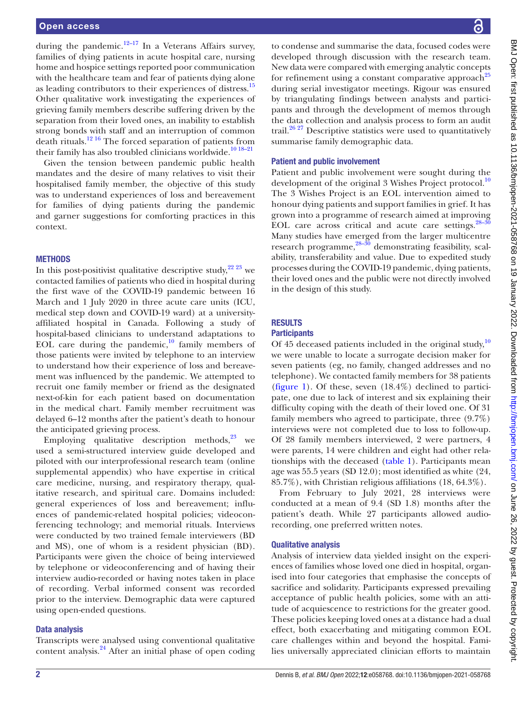during the pandemic.<sup>12–17</sup> In a Veterans Affairs survey, families of dying patients in acute hospital care, nursing home and hospice settings reported poor communication with the healthcare team and fear of patients dying alone as leading contributors to their experiences of distress[.15](#page-6-5) Other qualitative work investigating the experiences of grieving family members describe suffering driven by the separation from their loved ones, an inability to establish strong bonds with staff and an interruption of common death rituals.<sup>12 16</sup> The forced separation of patients from their family has also troubled clinicians worldwide.<sup>10 18–21</sup>

Given the tension between pandemic public health mandates and the desire of many relatives to visit their hospitalised family member, the objective of this study was to understand experiences of loss and bereavement for families of dying patients during the pandemic and garner suggestions for comforting practices in this context.

# **METHODS**

In this post-positivist qualitative descriptive study,  $2^{22}$   $2^{3}$  we contacted families of patients who died in hospital during the first wave of the COVID-19 pandemic between 16 March and 1 July 2020 in three acute care units (ICU, medical step down and COVID-19 ward) at a universityaffiliated hospital in Canada. Following a study of hospital-based clinicians to understand adaptations to EOL care during the pandemic, $^{10}$  family members of those patients were invited by telephone to an interview to understand how their experience of loss and bereavement was influenced by the pandemic. We attempted to recruit one family member or friend as the designated next-of-kin for each patient based on documentation in the medical chart. Family member recruitment was delayed 6–12 months after the patient's death to honour the anticipated grieving process.

Employing qualitative description methods, $^{23}$  we used a semi-structured interview guide developed and piloted with our interprofessional research team [\(online](https://dx.doi.org/10.1136/bmjopen-2021-058768) [supplemental appendix](https://dx.doi.org/10.1136/bmjopen-2021-058768)) who have expertise in critical care medicine, nursing, and respiratory therapy, qualitative research, and spiritual care. Domains included: general experiences of loss and bereavement; influences of pandemic-related hospital policies; videoconferencing technology; and memorial rituals. Interviews were conducted by two trained female interviewers (BD and MS), one of whom is a resident physician (BD). Participants were given the choice of being interviewed by telephone or videoconferencing and of having their interview audio-recorded or having notes taken in place of recording. Verbal informed consent was recorded prior to the interview. Demographic data were captured using open-ended questions.

# Data analysis

Transcripts were analysed using conventional qualitative content analysis.<sup>24</sup> After an initial phase of open coding

to condense and summarise the data, focused codes were developed through discussion with the research team. New data were compared with emerging analytic concepts for refinement using a constant comparative approach<sup>[25](#page-6-10)</sup> during serial investigator meetings. Rigour was ensured by triangulating findings between analysts and participants and through the development of memos through the data collection and analysis process to form an audit trail. $26\frac{27}{1}$  Descriptive statistics were used to quantitatively summarise family demographic data.

# Patient and public involvement

Patient and public involvement were sought during the development of the original 3 Wishes Project protocol.<sup>[10](#page-6-6)</sup> The 3 Wishes Project is an EOL intervention aimed to honour dying patients and support families in grief. It has grown into a programme of research aimed at improving EOL care across critical and acute care settings. $28-30$ Many studies have emerged from the larger multicentre research programme, $28-30$  demonstrating feasibility, scalability, transferability and value. Due to expedited study processes during the COVID-19 pandemic, dying patients, their loved ones and the public were not directly involved in the design of this study.

# RESULTS

# **Participants**

Of 45 deceased patients included in the original study, $10$ we were unable to locate a surrogate decision maker for seven patients (eg, no family, changed addresses and no telephone). We contacted family members for 38 patients [\(figure](#page-2-0) 1). Of these, seven (18.4%) declined to participate, one due to lack of interest and six explaining their difficulty coping with the death of their loved one. Of 31 family members who agreed to participate, three (9.7%) interviews were not completed due to loss to follow-up. Of 28 family members interviewed, 2 were partners, 4 were parents, 14 were children and eight had other relationships with the deceased ([table](#page-3-0) 1). Participants mean age was 55.5 years (SD 12.0); most identified as white (24, 85.7%), with Christian religious affiliations (18, 64.3%).

From February to July 2021, 28 interviews were conducted at a mean of 9.4 (SD 1.8) months after the patient's death. While 27 participants allowed audiorecording, one preferred written notes.

# Qualitative analysis

Analysis of interview data yielded insight on the experiences of families whose loved one died in hospital, organised into four categories that emphasise the concepts of sacrifice and solidarity. Participants expressed prevailing acceptance of public health policies, some with an attitude of acquiescence to restrictions for the greater good. These policies keeping loved ones at a distance had a dual effect, both exacerbating and mitigating common EOL care challenges within and beyond the hospital. Families universally appreciated clinician efforts to maintain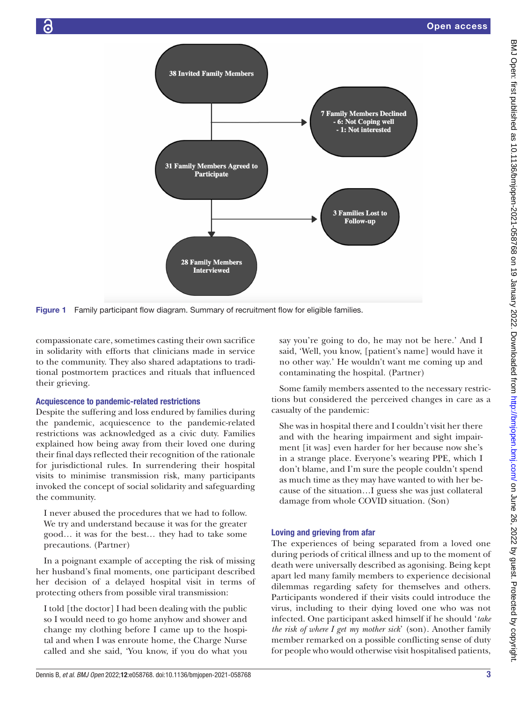

Figure 1 Family participant flow diagram. Summary of recruitment flow for eligible families.

compassionate care, sometimes casting their own sacrifice in solidarity with efforts that clinicians made in service to the community. They also shared adaptations to traditional postmortem practices and rituals that influenced their grieving.

# Acquiescence to pandemic-related restrictions

Despite the suffering and loss endured by families during the pandemic, acquiescence to the pandemic-related restrictions was acknowledged as a civic duty. Families explained how being away from their loved one during their final days reflected their recognition of the rationale for jurisdictional rules. In surrendering their hospital visits to minimise transmission risk, many participants invoked the concept of social solidarity and safeguarding the community.

I never abused the procedures that we had to follow. We try and understand because it was for the greater good… it was for the best… they had to take some precautions. (Partner)

In a poignant example of accepting the risk of missing her husband's final moments, one participant described her decision of a delayed hospital visit in terms of protecting others from possible viral transmission:

I told [the doctor] I had been dealing with the public so I would need to go home anyhow and shower and change my clothing before I came up to the hospital and when I was enroute home, the Charge Nurse called and she said, 'You know, if you do what you <span id="page-2-0"></span>say you're going to do, he may not be here.' And I said, 'Well, you know, [patient's name] would have it no other way.' He wouldn't want me coming up and contaminating the hospital. (Partner)

Some family members assented to the necessary restrictions but considered the perceived changes in care as a casualty of the pandemic:

She was in hospital there and I couldn't visit her there and with the hearing impairment and sight impairment [it was] even harder for her because now she's in a strange place. Everyone's wearing PPE, which I don't blame, and I'm sure the people couldn't spend as much time as they may have wanted to with her because of the situation…I guess she was just collateral damage from whole COVID situation. (Son)

# Loving and grieving from afar

The experiences of being separated from a loved one during periods of critical illness and up to the moment of death were universally described as agonising. Being kept apart led many family members to experience decisional dilemmas regarding safety for themselves and others. Participants wondered if their visits could introduce the virus, including to their dying loved one who was not infected. One participant asked himself if he should '*take the risk of where I get my mother sick*' (son). Another family member remarked on a possible conflicting sense of duty for people who would otherwise visit hospitalised patients,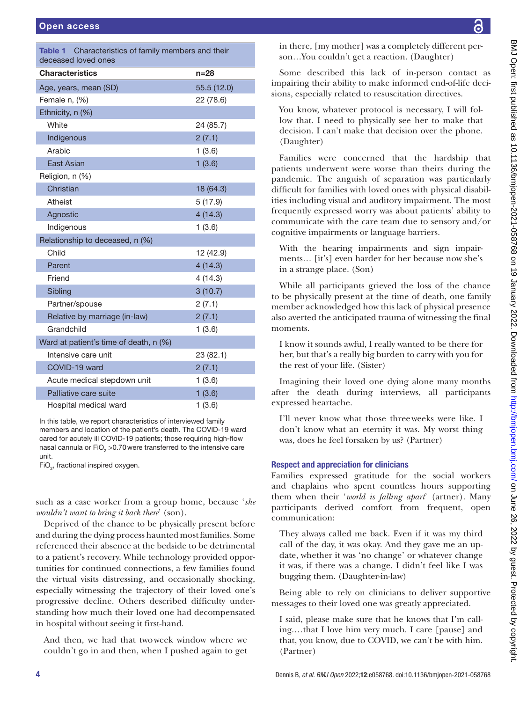<span id="page-3-0"></span>

| Table 1<br>Characteristics of family members and their<br>deceased loved ones |             |
|-------------------------------------------------------------------------------|-------------|
| <b>Characteristics</b>                                                        | $n = 28$    |
| Age, years, mean (SD)                                                         | 55.5 (12.0) |
| Female n, (%)                                                                 | 22 (78.6)   |
| Ethnicity, n (%)                                                              |             |
| White                                                                         | 24 (85.7)   |
| Indigenous                                                                    | 2(7.1)      |
| Arabic                                                                        | 1(3.6)      |
| <b>East Asian</b>                                                             | 1(3.6)      |
| Religion, n (%)                                                               |             |
| Christian                                                                     | 18 (64.3)   |
| Atheist                                                                       | 5(17.9)     |
| Agnostic                                                                      | 4(14.3)     |
| Indigenous                                                                    | 1(3.6)      |
| Relationship to deceased, n (%)                                               |             |
| Child                                                                         | 12 (42.9)   |
| Parent                                                                        | 4(14.3)     |
| Friend                                                                        | 4(14.3)     |
| Sibling                                                                       | 3(10.7)     |
| Partner/spouse                                                                | 2(7.1)      |
| Relative by marriage (in-law)                                                 | 2(7.1)      |
| Grandchild                                                                    | 1(3.6)      |
| Ward at patient's time of death, n (%)                                        |             |
| Intensive care unit                                                           | 23 (82.1)   |
| COVID-19 ward                                                                 | 2(7.1)      |
| Acute medical stepdown unit                                                   | 1(3.6)      |
| Palliative care suite                                                         | 1(3.6)      |
| Hospital medical ward                                                         | 1(3.6)      |

In this table, we report characteristics of interviewed family members and location of the patient's death. The COVID-19 ward cared for acutely ill COVID-19 patients; those requiring high-flow nasal cannula or FiO<sub>2</sub> > 0.70 were transferred to the intensive care unit.

 $FiO<sub>2</sub>$ , fractional inspired oxygen.

such as a case worker from a group home, because '*she wouldn't want to bring it back there*' (son).

Deprived of the chance to be physically present before and during the dying process haunted most families. Some referenced their absence at the bedside to be detrimental to a patient's recovery. While technology provided opportunities for continued connections, a few families found the virtual visits distressing, and occasionally shocking, especially witnessing the trajectory of their loved one's progressive decline. Others described difficulty understanding how much their loved one had decompensated in hospital without seeing it first-hand.

And then, we had that twoweek window where we couldn't go in and then, when I pushed again to get in there, [my mother] was a completely different person…You couldn't get a reaction. (Daughter)

Some described this lack of in-person contact as impairing their ability to make informed end-of-life decisions, especially related to resuscitation directives.

You know, whatever protocol is necessary, I will follow that. I need to physically see her to make that decision. I can't make that decision over the phone. (Daughter)

Families were concerned that the hardship that patients underwent were worse than theirs during the pandemic. The anguish of separation was particularly difficult for families with loved ones with physical disabilities including visual and auditory impairment. The most frequently expressed worry was about patients' ability to communicate with the care team due to sensory and/or cognitive impairments or language barriers.

With the hearing impairments and sign impairments… [it's] even harder for her because now she's in a strange place. (Son)

While all participants grieved the loss of the chance to be physically present at the time of death, one family member acknowledged how this lack of physical presence also averted the anticipated trauma of witnessing the final moments.

I know it sounds awful, I really wanted to be there for her, but that's a really big burden to carry with you for the rest of your life. (Sister)

Imagining their loved one dying alone many months after the death during interviews, all participants expressed heartache.

I'll never know what those threeweeks were like. I don't know what an eternity it was. My worst thing was, does he feel forsaken by us? (Partner)

# Respect and appreciation for clinicians

Families expressed gratitude for the social workers and chaplains who spent countless hours supporting them when their '*world is falling apart*' (artner). Many participants derived comfort from frequent, open communication:

They always called me back. Even if it was my third call of the day, it was okay. And they gave me an update, whether it was 'no change' or whatever change it was, if there was a change. I didn't feel like I was bugging them. (Daughter-in-law)

Being able to rely on clinicians to deliver supportive messages to their loved one was greatly appreciated.

I said, please make sure that he knows that I'm calling.…that I love him very much. I care [pause] and that, you know, due to COVID, we can't be with him. (Partner)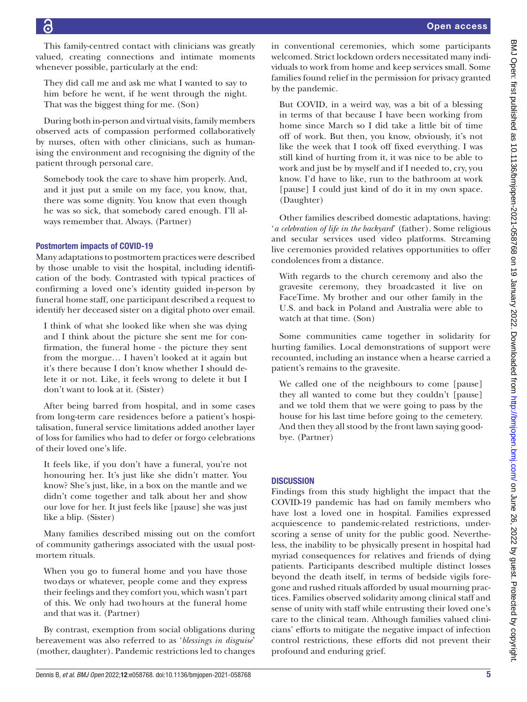This family-centred contact with clinicians was greatly valued, creating connections and intimate moments whenever possible, particularly at the end:

They did call me and ask me what I wanted to say to him before he went, if he went through the night. That was the biggest thing for me. (Son)

During both in-person and virtual visits, family members observed acts of compassion performed collaboratively by nurses, often with other clinicians, such as humanising the environment and recognising the dignity of the patient through personal care.

Somebody took the care to shave him properly. And, and it just put a smile on my face, you know, that, there was some dignity. You know that even though he was so sick, that somebody cared enough. I'll always remember that. Always. (Partner)

# Postmortem impacts of COVID-19

Many adaptations to postmortem practices were described by those unable to visit the hospital, including identification of the body. Contrasted with typical practices of confirming a loved one's identity guided in-person by funeral home staff, one participant described a request to identify her deceased sister on a digital photo over email.

I think of what she looked like when she was dying and I think about the picture she sent me for confirmation, the funeral home - the picture they sent from the morgue… I haven't looked at it again but it's there because I don't know whether I should delete it or not. Like, it feels wrong to delete it but I don't want to look at it. (Sister)

After being barred from hospital, and in some cases from long-term care residences before a patient's hospitalisation, funeral service limitations added another layer of loss for families who had to defer or forgo celebrations of their loved one's life.

It feels like, if you don't have a funeral, you're not honouring her. It's just like she didn't matter. You know? She's just, like, in a box on the mantle and we didn't come together and talk about her and show our love for her. It just feels like [pause] she was just like a blip. (Sister)

Many families described missing out on the comfort of community gatherings associated with the usual postmortem rituals.

When you go to funeral home and you have those twodays or whatever, people come and they express their feelings and they comfort you, which wasn't part of this. We only had twohours at the funeral home and that was it. (Partner)

By contrast, exemption from social obligations during bereavement was also referred to as '*blessings in disguise*' (mother, daughter). Pandemic restrictions led to changes

in conventional ceremonies, which some participants welcomed. Strict lockdown orders necessitated many individuals to work from home and keep services small. Some families found relief in the permission for privacy granted by the pandemic.

But COVID, in a weird way, was a bit of a blessing in terms of that because I have been working from home since March so I did take a little bit of time off of work. But then, you know, obviously, it's not like the week that I took off fixed everything. I was still kind of hurting from it, it was nice to be able to work and just be by myself and if I needed to, cry, you know. I'd have to like, run to the bathroom at work [pause] I could just kind of do it in my own space. (Daughter)

Other families described domestic adaptations, having: '*a celebration of life in the backyard*' (father). Some religious and secular services used video platforms. Streaming live ceremonies provided relatives opportunities to offer condolences from a distance.

With regards to the church ceremony and also the gravesite ceremony, they broadcasted it live on FaceTime. My brother and our other family in the U.S. and back in Poland and Australia were able to watch at that time. (Son)

Some communities came together in solidarity for hurting families. Local demonstrations of support were recounted, including an instance when a hearse carried a patient's remains to the gravesite.

We called one of the neighbours to come [pause] they all wanted to come but they couldn't [pause] and we told them that we were going to pass by the house for his last time before going to the cemetery. And then they all stood by the front lawn saying goodbye. (Partner)

# **DISCUSSION**

Findings from this study highlight the impact that the COVID-19 pandemic has had on family members who have lost a loved one in hospital. Families expressed acquiescence to pandemic-related restrictions, underscoring a sense of unity for the public good. Nevertheless, the inability to be physically present in hospital had myriad consequences for relatives and friends of dying patients. Participants described multiple distinct losses beyond the death itself, in terms of bedside vigils foregone and rushed rituals afforded by usual mourning practices. Families observed solidarity among clinical staff and sense of unity with staff while entrusting their loved one's care to the clinical team. Although families valued clinicians' efforts to mitigate the negative impact of infection control restrictions, these efforts did not prevent their profound and enduring grief.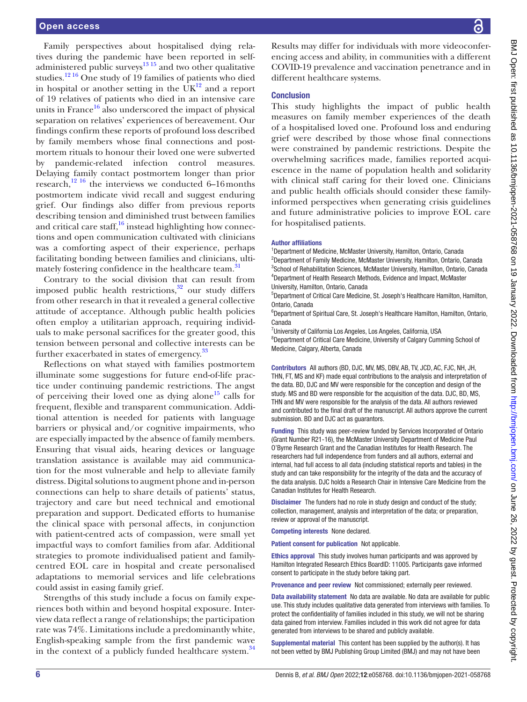Family perspectives about hospitalised dying relatives during the pandemic have been reported in selfadministered public surveys<sup>1315</sup> and two other qualitative studies.[12 16](#page-6-4) One study of 19 families of patients who died in hospital or another setting in the  $\overline{UK}^{12}$  and a report of 19 relatives of patients who died in an intensive care units in France<sup>16</sup> also underscored the impact of physical separation on relatives' experiences of bereavement. Our findings confirm these reports of profound loss described by family members whose final connections and postmortem rituals to honour their loved one were subverted by pandemic-related infection control measures. Delaying family contact postmortem longer than prior research, $^{12}$ <sup>16</sup> the interviews we conducted 6–16months postmortem indicate vivid recall and suggest enduring grief. Our findings also differ from previous reports describing tension and diminished trust between families and critical care staff, $^{16}$  $^{16}$  $^{16}$  instead highlighting how connections and open communication cultivated with clinicians was a comforting aspect of their experience, perhaps facilitating bonding between families and clinicians, ultimately fostering confidence in the healthcare team.<sup>31</sup>

Contrary to the social division that can result from imposed public health restrictions, $32$  our study differs from other research in that it revealed a general collective attitude of acceptance. Although public health policies often employ a utilitarian approach, requiring individuals to make personal sacrifices for the greater good, this tension between personal and collective interests can be further exacerbated in states of emergency.<sup>33</sup>

Reflections on what stayed with families postmortem illuminate some suggestions for future end-of-life practice under continuing pandemic restrictions. The angst of perceiving their loved one as dying alone<sup>15</sup> calls for frequent, flexible and transparent communication. Additional attention is needed for patients with language barriers or physical and/or cognitive impairments, who are especially impacted by the absence of family members. Ensuring that visual aids, hearing devices or language translation assistance is available may aid communication for the most vulnerable and help to alleviate family distress. Digital solutions to augment phone and in-person connections can help to share details of patients' status, trajectory and care but need technical and emotional preparation and support. Dedicated efforts to humanise the clinical space with personal affects, in conjunction with patient-centred acts of compassion, were small yet impactful ways to comfort families from afar. Additional strategies to promote individualised patient and familycentred EOL care in hospital and create personalised adaptations to memorial services and life celebrations could assist in easing family grief.

Strengths of this study include a focus on family experiences both within and beyond hospital exposure. Interview data reflect a range of relationships; the participation rate was 74%. Limitations include a predominantly white, English-speaking sample from the first pandemic wave in the context of a publicly funded healthcare system.<sup>34</sup>

Results may differ for individuals with more videoconferencing access and ability, in communities with a different COVID-19 prevalence and vaccination penetrance and in different healthcare systems.

#### **Conclusion**

This study highlights the impact of public health measures on family member experiences of the death of a hospitalised loved one. Profound loss and enduring grief were described by those whose final connections were constrained by pandemic restrictions. Despite the overwhelming sacrifices made, families reported acquiescence in the name of population health and solidarity with clinical staff caring for their loved one. Clinicians and public health officials should consider these familyinformed perspectives when generating crisis guidelines and future administrative policies to improve EOL care for hospitalised patients.

#### Author affiliations

<sup>1</sup>Department of Medicine, McMaster University, Hamilton, Ontario, Canada <sup>2</sup>Department of Family Medicine, McMaster University, Hamilton, Ontario, Canada <sup>3</sup>School of Rehabilitation Sciences, McMaster University, Hamilton, Ontario, Canada 4 Department of Health Research Methods, Evidence and Impact, McMaster University, Hamilton, Ontario, Canada

5 Department of Critical Care Medicine, St. Joseph's Healthcare Hamilton, Hamilton, Ontario, Canada

<sup>6</sup>Department of Spiritual Care, St. Joseph's Healthcare Hamilton, Hamilton, Ontario, Canada

<sup>7</sup>University of California Los Angeles, Los Angeles, California, USA

<sup>8</sup>Department of Critical Care Medicine, University of Calgary Cumming School of Medicine, Calgary, Alberta, Canada

Contributors All authors (BD, DJC, MV, MS, DBV, AB, TV, JCD, AC, FJC, NH, JH, THN, FT, MS and KF) made equal contributions to the analysis and interpretation of the data. BD, DJC and MV were responsible for the conception and design of the study. MS and BD were responsible for the acquisition of the data. DJC, BD, MS, THN and MV were responsible for the analysis of the data. All authors reviewed and contributed to the final draft of the manuscript. All authors approve the current submission. BD and DJC act as guarantors.

Funding This study was peer-review funded by Services Incorporated of Ontario (Grant Number R21-16), the McMaster University Department of Medicine Paul O'Byrne Research Grant and the Canadian Institutes for Health Research. The researchers had full independence from funders and all authors, external and internal, had full access to all data (including statistical reports and tables) in the study and can take responsibility for the integrity of the data and the accuracy of the data analysis. DJC holds a Research Chair in Intensive Care Medicine from the Canadian Institutes for Health Research.

Disclaimer The funders had no role in study design and conduct of the study; collection, management, analysis and interpretation of the data; or preparation, review or approval of the manuscript.

Competing interests None declared.

Patient consent for publication Not applicable.

Ethics approval This study involves human participants and was approved by Hamilton Integrated Research Ethics BoardID: 11005. Participants gave informed consent to participate in the study before taking part.

Provenance and peer review Not commissioned; externally peer reviewed.

Data availability statement No data are available. No data are available for public use. This study includes qualitative data generated from interviews with families. To protect the confidentiality of families included in this study, we will not be sharing data gained from interview. Families included in this work did not agree for data generated from interviews to be shared and publicly available.

Supplemental material This content has been supplied by the author(s). It has not been vetted by BMJ Publishing Group Limited (BMJ) and may not have been